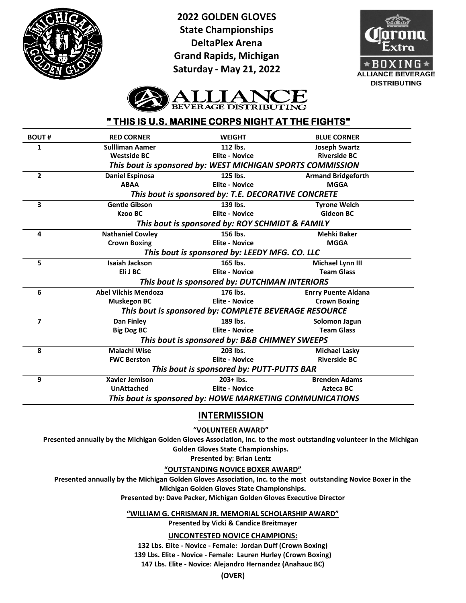

**2022 GOLDEN GLOVES State Championships DeltaPlex Arena Grand Rapids, Michigan Saturday - May 21, 2022**





# **" THIS IS U.S. MARINE CORPS NIGHT AT THE FIGHTS"**

| <b>BOUT#</b> | <b>RED CORNER</b>                                        | <b>WEIGHT</b>                                              | <b>BLUE CORNER</b>         |  |
|--------------|----------------------------------------------------------|------------------------------------------------------------|----------------------------|--|
| 1            | <b>Sullliman Aamer</b>                                   | 112 lbs.                                                   | <b>Joseph Swartz</b>       |  |
|              | <b>Westside BC</b>                                       | <b>Elite - Novice</b>                                      | <b>Riverside BC</b>        |  |
|              |                                                          | This bout is sponsored by: WEST MICHIGAN SPORTS COMMISSION |                            |  |
| $\mathbf{2}$ | <b>Daniel Espinosa</b>                                   | 125 lbs.                                                   | <b>Armand Bridgeforth</b>  |  |
|              | <b>ABAA</b>                                              | <b>Elite - Novice</b>                                      | <b>MGGA</b>                |  |
|              |                                                          | This bout is sponsored by: T.E. DECORATIVE CONCRETE        |                            |  |
| 3            | <b>Gentle Gibson</b>                                     | 139 lbs.                                                   | <b>Tyrone Welch</b>        |  |
|              | <b>Kzoo BC</b>                                           | <b>Elite - Novice</b>                                      | <b>Gideon BC</b>           |  |
|              |                                                          | This bout is sponsored by: ROY SCHMIDT & FAMILY            |                            |  |
| 4            | <b>Nathaniel Cowley</b>                                  | 156 lbs.                                                   | <b>Mehki Baker</b>         |  |
|              | <b>Crown Boxing</b>                                      | <b>Elite - Novice</b>                                      | <b>MGGA</b>                |  |
|              | This bout is sponsored by: LEEDY MFG. CO. LLC            |                                                            |                            |  |
| 5            | <b>Isaiah Jackson</b>                                    | 165 lbs.                                                   | Michael Lynn III           |  |
|              | Eli J BC                                                 | <b>Elite - Novice</b>                                      | <b>Team Glass</b>          |  |
|              |                                                          | This bout is sponsored by: DUTCHMAN INTERIORS              |                            |  |
| 6            | <b>Abel Vilchis Mendoza</b>                              | 176 lbs.                                                   | <b>Enrry Puente Aldana</b> |  |
|              | <b>Muskegon BC</b>                                       | <b>Elite - Novice</b>                                      | <b>Crown Boxing</b>        |  |
|              | This bout is sponsored by: COMPLETE BEVERAGE RESOURCE    |                                                            |                            |  |
| 7            | <b>Dan Finley</b>                                        | 189 lbs.                                                   | Solomon Jagun              |  |
|              | <b>Big Dog BC</b>                                        | <b>Elite - Novice</b>                                      | <b>Team Glass</b>          |  |
|              |                                                          | This bout is sponsored by: B&B CHIMNEY SWEEPS              |                            |  |
| 8            | <b>Malachi Wise</b>                                      | 203 lbs.                                                   | <b>Michael Lasky</b>       |  |
|              | <b>FWC Berston</b>                                       | <b>Elite - Novice</b>                                      | <b>Riverside BC</b>        |  |
|              |                                                          | This bout is sponsored by: PUTT-PUTTS BAR                  |                            |  |
| 9            | <b>Xavier Jemison</b>                                    | $203+$ lbs.                                                | <b>Brenden Adams</b>       |  |
|              | <b>UnAttached</b>                                        | <b>Elite - Novice</b>                                      | <b>Azteca BC</b>           |  |
|              | This bout is sponsored by: HOWE MARKETING COMMUNICATIONS |                                                            |                            |  |
|              |                                                          |                                                            |                            |  |

## **INTERMISSION**

## **"VOLUNTEER AWARD"**

**Presented annually by the Michigan Golden Gloves Association, Inc. to the most outstanding volunteer in the Michigan Golden Gloves State Championships.**

**Presented by: Brian Lentz**

**"OUTSTANDING NOVICE BOXER AWARD"**

**Presented annually by the Michigan Golden Gloves Association, Inc. to the most outstanding Novice Boxer in the Michigan Golden Gloves State Championships.**

**Presented by: Dave Packer, Michigan Golden Gloves Executive Director**

**"WILLIAM G. CHRISMAN JR. MEMORIAL SCHOLARSHIP AWARD"**

**Presented by Vicki & Candice Breitmayer**

**UNCONTESTED NOVICE CHAMPIONS:**

**132 Lbs. Elite - Novice - Female: Jordan Duff (Crown Boxing) 139 Lbs. Elite - Novice - Female: Lauren Hurley (Crown Boxing) 147 Lbs. Elite - Novice: Alejandro Hernandez (Anahauc BC)**